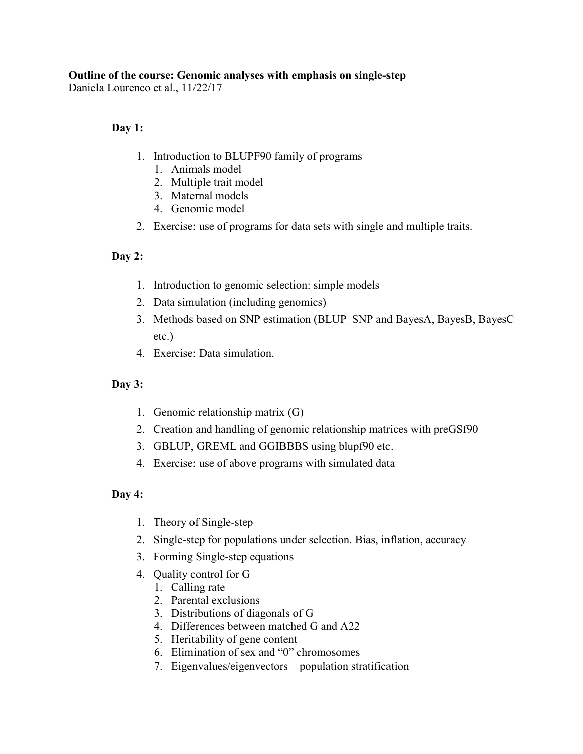## **Outline of the course: Genomic analyses with emphasis on single-step**

Daniela Lourenco et al., 11/22/17

## **Day 1:**

- 1. Introduction to BLUPF90 family of programs
	- 1. Animals model
	- 2. Multiple trait model
	- 3. Maternal models
	- 4. Genomic model
- 2. Exercise: use of programs for data sets with single and multiple traits.

## **Day 2:**

- 1. [Introduction to genomic selection: simple models](http://nce.ads.uga.edu/wiki/lib/exe/fetch.php?media=uga_1_models.pdf)
- 2. [Data simulation \(including genomics\)](http://nce.ads.uga.edu/wiki/lib/exe/fetch.php?media=uga1_qmsim.pdf)
- 3. [Methods based on SNP estimation \(BLUP\\_SNP and BayesA, BayesB, BayesC](http://nce.ads.uga.edu/wiki/lib/exe/fetch.php?media=uga_2_normal_lasso_bayesc.pdf)  [etc.\)](http://nce.ads.uga.edu/wiki/lib/exe/fetch.php?media=uga_2_normal_lasso_bayesc.pdf)
- 4. Exercise: [Data simulation.](http://nce.ads.uga.edu/wiki/lib/exe/fetch.php?media=exercises_qmsim.pdf)

#### **Day 3:**

- 1. [Genomic relationship matrix](http://nce.ads.uga.edu/wiki/lib/exe/fetch.php?media=uga_3_relationship.pdf) (G)
- 2. [Creation and handling of genomic relationship matrices with preGSf90](http://nce.ads.uga.edu/wiki/lib/exe/fetch.php?media=uga_pregs.pdf)
- 3. GBLUP, GREML and GGIBBBS using blupf90 etc.
- 4. Exercise: [use of above programs with simulated data](http://nce.ads.uga.edu/wiki/lib/exe/fetch.php?media=exercises_gmatrix.pdf)

#### **Day 4:**

- 1. [Theory of Single-step](http://nce.ads.uga.edu/wiki/lib/exe/fetch.php?media=uga_4_ssgblup.pdf)
- 2. [Single-step for populations under selection. Bias, inflation, accuracy](http://nce.ads.uga.edu/wiki/lib/exe/fetch.php?media=uga2_correctedg.pdf)
- 3. [Forming Single-step equations](http://nce.ads.uga.edu/wiki/lib/exe/fetch.php?media=uga_pregs_qc.pdf)
- 4. [Quality control](http://nce.ads.uga.edu/wiki/lib/exe/fetch.php?media=uga_pregs_qc.pdf) for G
	- 1. Calling rate
	- 2. Parental exclusions
	- 3. Distributions of diagonals of G
	- 4. Differences between matched G and A22
	- 5. Heritability of gene content
	- 6. Elimination of sex and "0" chromosomes
	- 7. Eigenvalues/eigenvectors population stratification